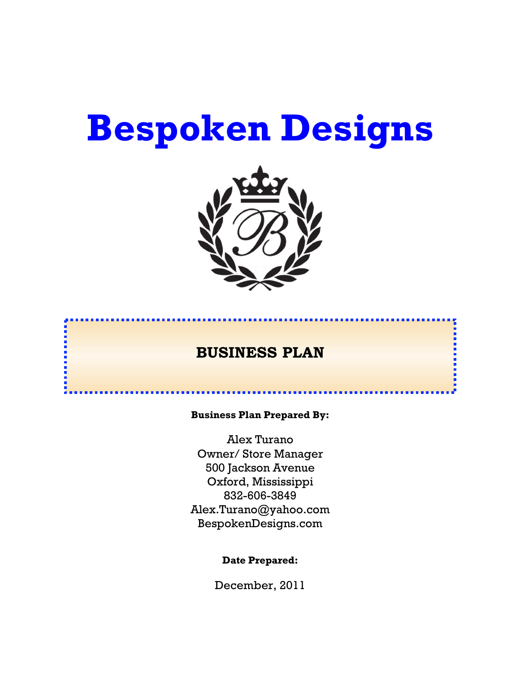# **Bespoken Designs**



# **BUSINESS PLAN**

#### **Business Plan Prepared By:**

Alex Turano Owner/ Store Manager 500 Jackson Avenue Oxford, Mississippi 832-606-3849 Alex.Turano@yahoo.com BespokenDesigns.com

#### **Date Prepared:**

December, 2011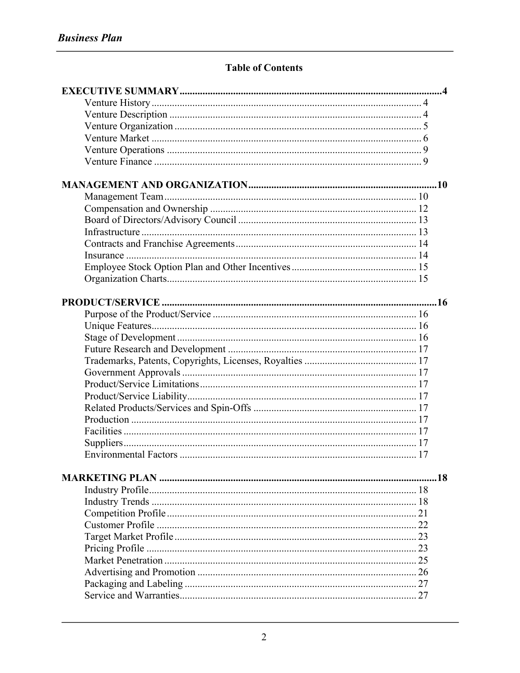## **Table of Contents**

| $\cdot$ .4 |
|------------|
|            |
|            |
|            |
|            |
|            |
|            |
|            |
|            |
|            |
|            |
|            |
|            |
|            |
|            |
|            |
|            |
|            |
|            |
|            |
|            |
|            |
|            |
|            |
|            |
|            |
|            |
|            |
|            |
|            |
|            |
|            |
|            |
|            |
|            |
|            |
|            |
|            |
|            |
|            |
|            |
|            |
|            |
|            |
|            |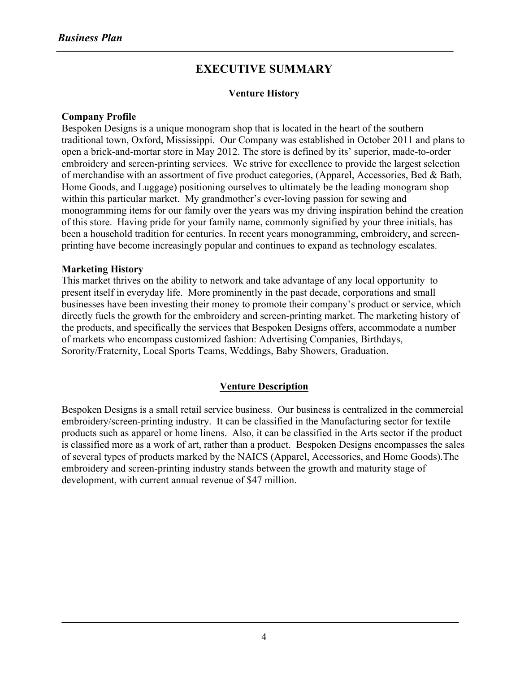# **EXECUTIVE SUMMARY**

#### **Venture History**

#### **Company Profile**

Bespoken Designs is a unique monogram shop that is located in the heart of the southern traditional town, Oxford, Mississippi. Our Company was established in October 2011 and plans to open a brick-and-mortar store in May 2012. The store is defined by its' superior, made-to-order embroidery and screen-printing services. We strive for excellence to provide the largest selection of merchandise with an assortment of five product categories, (Apparel, Accessories, Bed & Bath, Home Goods, and Luggage) positioning ourselves to ultimately be the leading monogram shop within this particular market. My grandmother's ever-loving passion for sewing and monogramming items for our family over the years was my driving inspiration behind the creation of this store. Having pride for your family name, commonly signified by your three initials, has been a household tradition for centuries. In recent years monogramming, embroidery, and screenprinting have become increasingly popular and continues to expand as technology escalates.

#### **Marketing History**

This market thrives on the ability to network and take advantage of any local opportunity to present itself in everyday life. More prominently in the past decade, corporations and small businesses have been investing their money to promote their company's product or service, which directly fuels the growth for the embroidery and screen-printing market. The marketing history of the products, and specifically the services that Bespoken Designs offers, accommodate a number of markets who encompass customized fashion: Advertising Companies, Birthdays, Sorority/Fraternity, Local Sports Teams, Weddings, Baby Showers, Graduation.

#### **Venture Description**

Bespoken Designs is a small retail service business. Our business is centralized in the commercial embroidery/screen-printing industry. It can be classified in the Manufacturing sector for textile products such as apparel or home linens. Also, it can be classified in the Arts sector if the product is classified more as a work of art, rather than a product. Bespoken Designs encompasses the sales of several types of products marked by the NAICS (Apparel, Accessories, and Home Goods).The embroidery and screen-printing industry stands between the growth and maturity stage of development, with current annual revenue of \$47 million.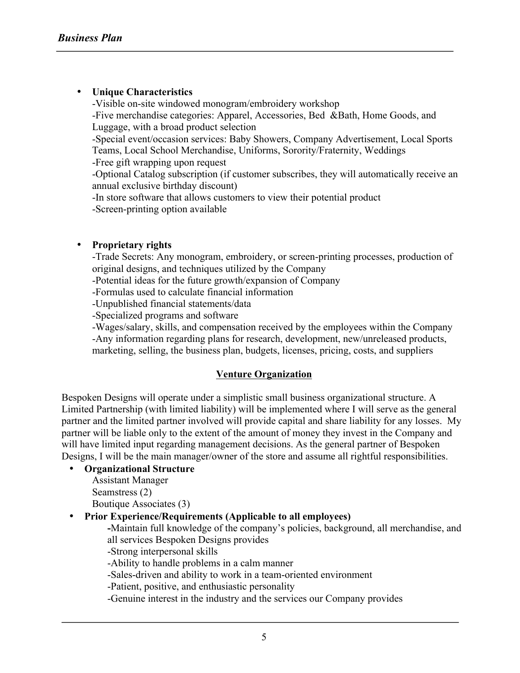#### • **Unique Characteristics**

-Visible on-site windowed monogram/embroidery workshop -Five merchandise categories: Apparel, Accessories, Bed &Bath, Home Goods, and Luggage, with a broad product selection

-Special event/occasion services: Baby Showers, Company Advertisement, Local Sports Teams, Local School Merchandise, Uniforms, Sorority/Fraternity, Weddings

-Free gift wrapping upon request

-Optional Catalog subscription (if customer subscribes, they will automatically receive an annual exclusive birthday discount)

-In store software that allows customers to view their potential product -Screen-printing option available

#### • **Proprietary rights**

-Trade Secrets: Any monogram, embroidery, or screen-printing processes, production of original designs, and techniques utilized by the Company

-Potential ideas for the future growth/expansion of Company

-Formulas used to calculate financial information

-Unpublished financial statements/data

-Specialized programs and software

-Wages/salary, skills, and compensation received by the employees within the Company -Any information regarding plans for research, development, new/unreleased products, marketing, selling, the business plan, budgets, licenses, pricing, costs, and suppliers

#### **Venture Organization**

Bespoken Designs will operate under a simplistic small business organizational structure. A Limited Partnership (with limited liability) will be implemented where I will serve as the general partner and the limited partner involved will provide capital and share liability for any losses. My partner will be liable only to the extent of the amount of money they invest in the Company and will have limited input regarding management decisions. As the general partner of Bespoken Designs, I will be the main manager/owner of the store and assume all rightful responsibilities.

#### • **Organizational Structure**

Assistant Manager Seamstress (2) Boutique Associates (3)

#### • **Prior Experience/Requirements (Applicable to all employees)**

**-**Maintain full knowledge of the company's policies, background, all merchandise, and all services Bespoken Designs provides

-Strong interpersonal skills

-Ability to handle problems in a calm manner

-Sales-driven and ability to work in a team-oriented environment

-Patient, positive, and enthusiastic personality

-Genuine interest in the industry and the services our Company provides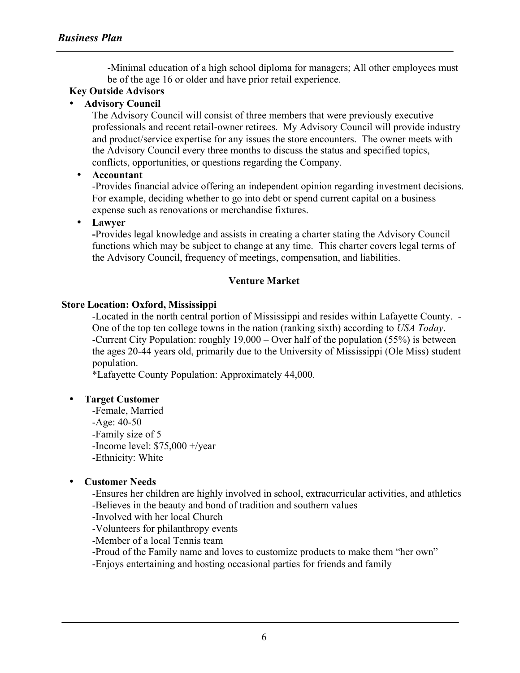-Minimal education of a high school diploma for managers; All other employees must be of the age 16 or older and have prior retail experience.

## **Key Outside Advisors**

## • **Advisory Council**

The Advisory Council will consist of three members that were previously executive professionals and recent retail-owner retirees. My Advisory Council will provide industry and product/service expertise for any issues the store encounters. The owner meets with the Advisory Council every three months to discuss the status and specified topics, conflicts, opportunities, or questions regarding the Company.

#### • **Accountant**

-Provides financial advice offering an independent opinion regarding investment decisions. For example, deciding whether to go into debt or spend current capital on a business expense such as renovations or merchandise fixtures.

• **Lawyer**

**-**Provides legal knowledge and assists in creating a charter stating the Advisory Council functions which may be subject to change at any time. This charter covers legal terms of the Advisory Council, frequency of meetings, compensation, and liabilities.

## **Venture Market**

## **Store Location: Oxford, Mississippi**

-Located in the north central portion of Mississippi and resides within Lafayette County. - One of the top ten college towns in the nation (ranking sixth) according to *USA Today*. -Current City Population: roughly 19,000 – Over half of the population (55%) is between the ages 20-44 years old, primarily due to the University of Mississippi (Ole Miss) student population.

\*Lafayette County Population: Approximately 44,000.

## • **Target Customer**

- -Female, Married
- -Age: 40-50
- -Family size of 5
- -Income level: \$75,000 +/year
- -Ethnicity: White

## • **Customer Needs**

-Ensures her children are highly involved in school, extracurricular activities, and athletics

- -Believes in the beauty and bond of tradition and southern values
- -Involved with her local Church
- -Volunteers for philanthropy events
- -Member of a local Tennis team
- -Proud of the Family name and loves to customize products to make them "her own"

-Enjoys entertaining and hosting occasional parties for friends and family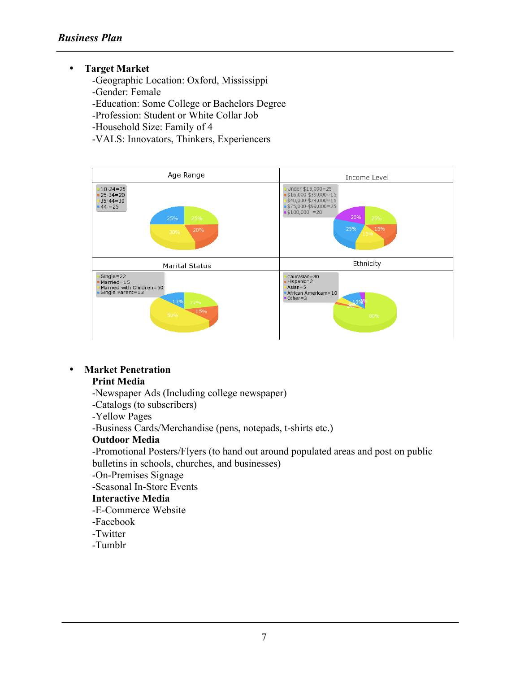#### • **Target Market**

- -Geographic Location: Oxford, Mississippi
- -Gender: Female
- -Education: Some College or Bachelors Degree
- -Profession: Student or White Collar Job
- -Household Size: Family of 4
- -VALS: Innovators, Thinkers, Experiencers



#### • **Market Penetration**

#### **Print Media**

- -Newspaper Ads (Including college newspaper)
- -Catalogs (to subscribers)
- -Yellow Pages
- -Business Cards/Merchandise (pens, notepads, t-shirts etc.)

#### **Outdoor Media**

-Promotional Posters/Flyers (to hand out around populated areas and post on public bulletins in schools, churches, and businesses)

-On-Premises Signage

-Seasonal In-Store Events

#### **Interactive Media**

- -E-Commerce Website
- -Facebook
- -Twitter
- -Tumblr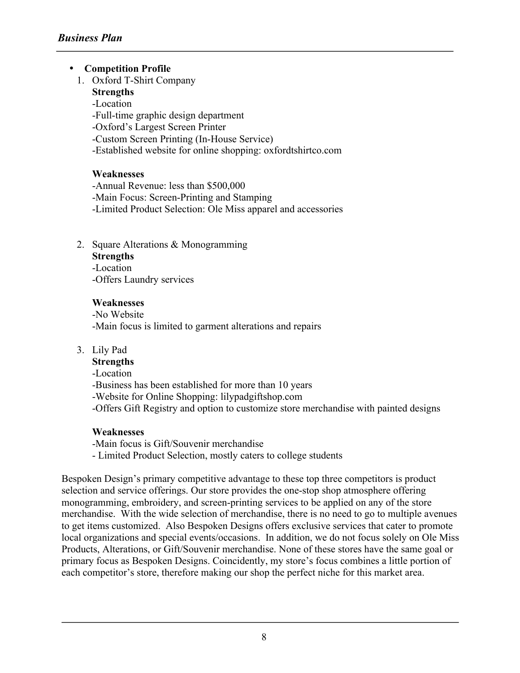#### • **Competition Profile**

- 1. Oxford T-Shirt Company
	- **Strengths**
	- -Location
	- -Full-time graphic design department
	- -Oxford's Largest Screen Printer
	- -Custom Screen Printing (In-House Service)
	- -Established website for online shopping: oxfordtshirtco.com

## **Weaknesses**

- -Annual Revenue: less than \$500,000
- -Main Focus: Screen-Printing and Stamping
- -Limited Product Selection: Ole Miss apparel and accessories
- 2. Square Alterations & Monogramming

## **Strengths**

- -Location
- -Offers Laundry services

## **Weaknesses**

-No Website -Main focus is limited to garment alterations and repairs

## 3. Lily Pad

## **Strengths**

## -Location

- -Business has been established for more than 10 years
- -Website for Online Shopping: lilypadgiftshop.com
- -Offers Gift Registry and option to customize store merchandise with painted designs

## **Weaknesses**

- -Main focus is Gift/Souvenir merchandise
- Limited Product Selection, mostly caters to college students

Bespoken Design's primary competitive advantage to these top three competitors is product selection and service offerings. Our store provides the one-stop shop atmosphere offering monogramming, embroidery, and screen-printing services to be applied on any of the store merchandise. With the wide selection of merchandise, there is no need to go to multiple avenues to get items customized. Also Bespoken Designs offers exclusive services that cater to promote local organizations and special events/occasions. In addition, we do not focus solely on Ole Miss Products, Alterations, or Gift/Souvenir merchandise. None of these stores have the same goal or primary focus as Bespoken Designs. Coincidently, my store's focus combines a little portion of each competitor's store, therefore making our shop the perfect niche for this market area.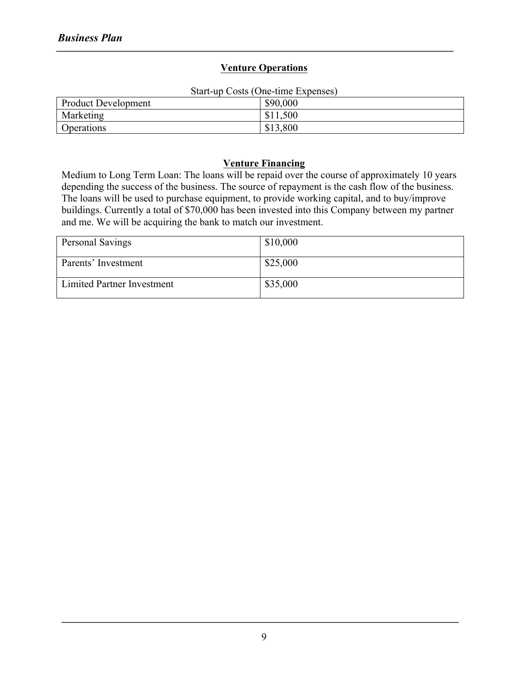## **Venture Operations**

| Start-up Costs (One-time Expenses) |          |  |
|------------------------------------|----------|--|
| <b>Product Development</b>         | \$90,000 |  |
| Marketing                          | \$11,500 |  |
| <b>Operations</b>                  | \$13,800 |  |

## $\overline{u}$   $\overline{u}$   $\overline{u}$   $\overline{u}$   $\overline{u}$   $\overline{u}$   $\overline{u}$

#### **Venture Financing**

Medium to Long Term Loan: The loans will be repaid over the course of approximately 10 years depending the success of the business. The source of repayment is the cash flow of the business. The loans will be used to purchase equipment, to provide working capital, and to buy/improve buildings. Currently a total of \$70,000 has been invested into this Company between my partner and me. We will be acquiring the bank to match our investment.

| Personal Savings                  | \$10,000 |
|-----------------------------------|----------|
| Parents' Investment               | \$25,000 |
| <b>Limited Partner Investment</b> | \$35,000 |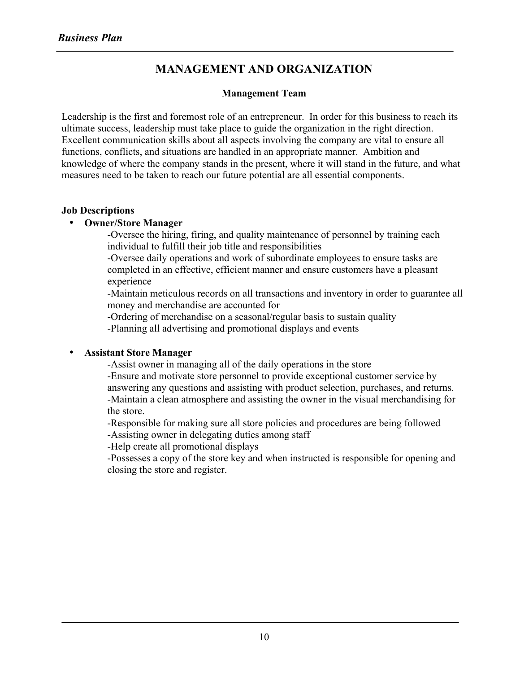# **MANAGEMENT AND ORGANIZATION**

#### **Management Team**

Leadership is the first and foremost role of an entrepreneur. In order for this business to reach its ultimate success, leadership must take place to guide the organization in the right direction. Excellent communication skills about all aspects involving the company are vital to ensure all functions, conflicts, and situations are handled in an appropriate manner. Ambition and knowledge of where the company stands in the present, where it will stand in the future, and what measures need to be taken to reach our future potential are all essential components.

#### **Job Descriptions**

#### • **Owner/Store Manager**

-Oversee the hiring, firing, and quality maintenance of personnel by training each individual to fulfill their job title and responsibilities

-Oversee daily operations and work of subordinate employees to ensure tasks are completed in an effective, efficient manner and ensure customers have a pleasant experience

-Maintain meticulous records on all transactions and inventory in order to guarantee all money and merchandise are accounted for

-Ordering of merchandise on a seasonal/regular basis to sustain quality

-Planning all advertising and promotional displays and events

#### • **Assistant Store Manager**

-Assist owner in managing all of the daily operations in the store

-Ensure and motivate store personnel to provide exceptional customer service by answering any questions and assisting with product selection, purchases, and returns. -Maintain a clean atmosphere and assisting the owner in the visual merchandising for the store.

-Responsible for making sure all store policies and procedures are being followed -Assisting owner in delegating duties among staff

-Help create all promotional displays

-Possesses a copy of the store key and when instructed is responsible for opening and closing the store and register.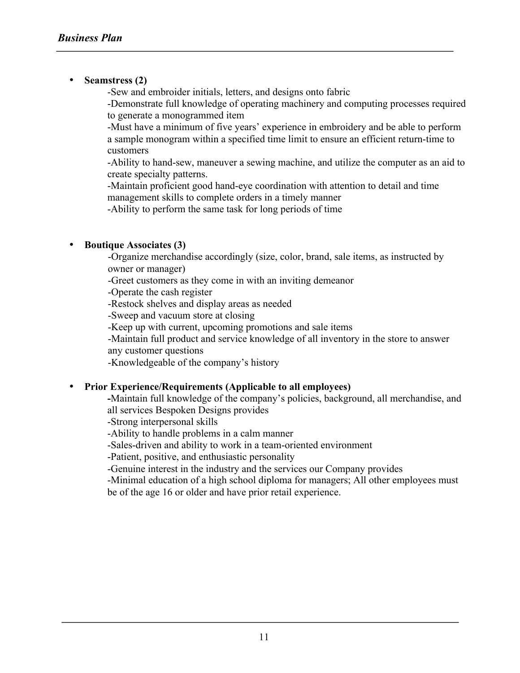#### • **Seamstress (2)**

-Sew and embroider initials, letters, and designs onto fabric

-Demonstrate full knowledge of operating machinery and computing processes required to generate a monogrammed item

-Must have a minimum of five years' experience in embroidery and be able to perform a sample monogram within a specified time limit to ensure an efficient return-time to customers

-Ability to hand-sew, maneuver a sewing machine, and utilize the computer as an aid to create specialty patterns.

-Maintain proficient good hand-eye coordination with attention to detail and time management skills to complete orders in a timely manner

-Ability to perform the same task for long periods of time

#### • **Boutique Associates (3)**

-Organize merchandise accordingly (size, color, brand, sale items, as instructed by owner or manager)

-Greet customers as they come in with an inviting demeanor

-Operate the cash register

-Restock shelves and display areas as needed

-Sweep and vacuum store at closing

-Keep up with current, upcoming promotions and sale items

-Maintain full product and service knowledge of all inventory in the store to answer any customer questions

-Knowledgeable of the company's history

#### • **Prior Experience/Requirements (Applicable to all employees)**

**-**Maintain full knowledge of the company's policies, background, all merchandise, and all services Bespoken Designs provides

-Strong interpersonal skills

-Ability to handle problems in a calm manner

-Sales-driven and ability to work in a team-oriented environment

-Patient, positive, and enthusiastic personality

-Genuine interest in the industry and the services our Company provides

-Minimal education of a high school diploma for managers; All other employees must be of the age 16 or older and have prior retail experience.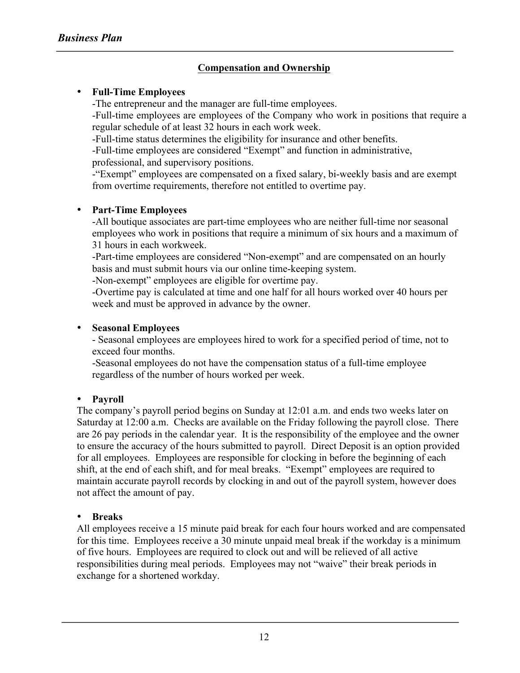## **Compensation and Ownership**

#### • **Full-Time Employees**

-The entrepreneur and the manager are full-time employees.

-Full-time employees are employees of the Company who work in positions that require a regular schedule of at least 32 hours in each work week.

-Full-time status determines the eligibility for insurance and other benefits.

-Full-time employees are considered "Exempt" and function in administrative,

professional, and supervisory positions.

-"Exempt" employees are compensated on a fixed salary, bi-weekly basis and are exempt from overtime requirements, therefore not entitled to overtime pay.

#### • **Part-Time Employees**

-All boutique associates are part-time employees who are neither full-time nor seasonal employees who work in positions that require a minimum of six hours and a maximum of 31 hours in each workweek.

-Part-time employees are considered "Non-exempt" and are compensated on an hourly basis and must submit hours via our online time-keeping system.

-Non-exempt" employees are eligible for overtime pay.

-Overtime pay is calculated at time and one half for all hours worked over 40 hours per week and must be approved in advance by the owner.

#### • **Seasonal Employees**

- Seasonal employees are employees hired to work for a specified period of time, not to exceed four months.

-Seasonal employees do not have the compensation status of a full-time employee regardless of the number of hours worked per week.

#### • **Payroll**

The company's payroll period begins on Sunday at 12:01 a.m. and ends two weeks later on Saturday at 12:00 a.m. Checks are available on the Friday following the payroll close. There are 26 pay periods in the calendar year. It is the responsibility of the employee and the owner to ensure the accuracy of the hours submitted to payroll. Direct Deposit is an option provided for all employees. Employees are responsible for clocking in before the beginning of each shift, at the end of each shift, and for meal breaks. "Exempt" employees are required to maintain accurate payroll records by clocking in and out of the payroll system, however does not affect the amount of pay.

#### • **Breaks**

All employees receive a 15 minute paid break for each four hours worked and are compensated for this time. Employees receive a 30 minute unpaid meal break if the workday is a minimum of five hours. Employees are required to clock out and will be relieved of all active responsibilities during meal periods. Employees may not "waive" their break periods in exchange for a shortened workday.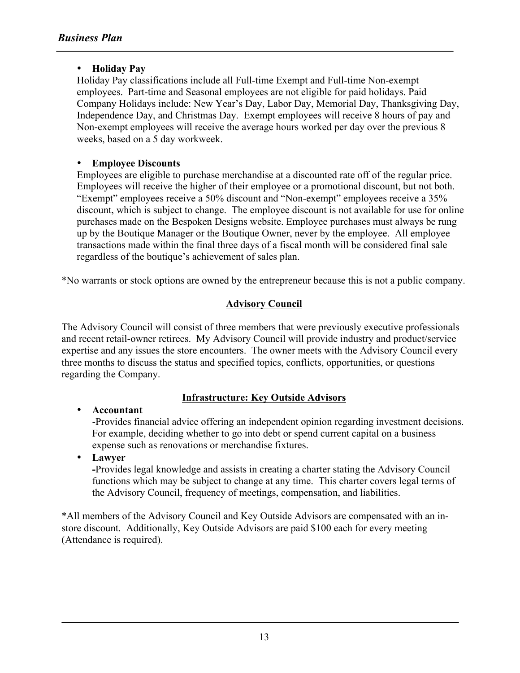### • **Holiday Pay**

Holiday Pay classifications include all Full-time Exempt and Full-time Non-exempt employees. Part-time and Seasonal employees are not eligible for paid holidays. Paid Company Holidays include: New Year's Day, Labor Day, Memorial Day, Thanksgiving Day, Independence Day, and Christmas Day. Exempt employees will receive 8 hours of pay and Non-exempt employees will receive the average hours worked per day over the previous 8 weeks, based on a 5 day workweek.

## • **Employee Discounts**

Employees are eligible to purchase merchandise at a discounted rate off of the regular price. Employees will receive the higher of their employee or a promotional discount, but not both. "Exempt" employees receive a 50% discount and "Non-exempt" employees receive a 35% discount, which is subject to change. The employee discount is not available for use for online purchases made on the Bespoken Designs website. Employee purchases must always be rung up by the Boutique Manager or the Boutique Owner, never by the employee. All employee transactions made within the final three days of a fiscal month will be considered final sale regardless of the boutique's achievement of sales plan.

\*No warrants or stock options are owned by the entrepreneur because this is not a public company.

## **Advisory Council**

The Advisory Council will consist of three members that were previously executive professionals and recent retail-owner retirees. My Advisory Council will provide industry and product/service expertise and any issues the store encounters. The owner meets with the Advisory Council every three months to discuss the status and specified topics, conflicts, opportunities, or questions regarding the Company.

## **Infrastructure: Key Outside Advisors**

## • **Accountant**

-Provides financial advice offering an independent opinion regarding investment decisions. For example, deciding whether to go into debt or spend current capital on a business expense such as renovations or merchandise fixtures.

• **Lawyer**

**-**Provides legal knowledge and assists in creating a charter stating the Advisory Council functions which may be subject to change at any time. This charter covers legal terms of the Advisory Council, frequency of meetings, compensation, and liabilities.

\*All members of the Advisory Council and Key Outside Advisors are compensated with an instore discount. Additionally, Key Outside Advisors are paid \$100 each for every meeting (Attendance is required).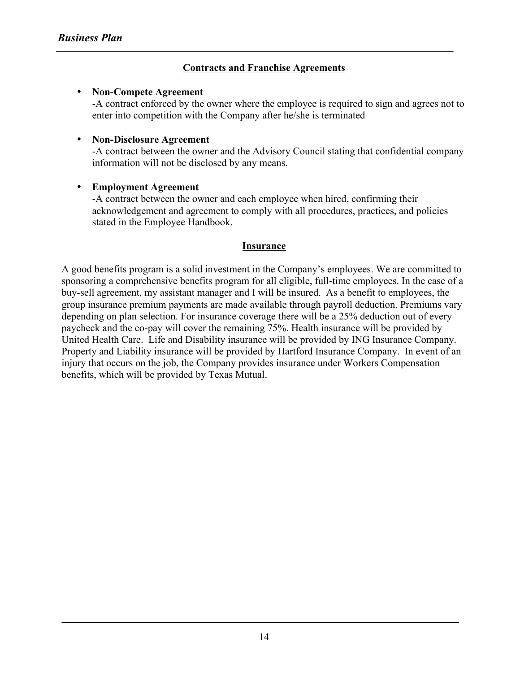## **Contracts and Franchise Agreements**

#### • **Non-Compete Agreement**

-A contract enforced by the owner where the employee is required to sign and agrees not to enter into competition with the Company after he/she is terminated

#### • **Non-Disclosure Agreement**

-A contract between the owner and the Advisory Council stating that confidential company information will not be disclosed by any means.

#### • **Employment Agreement**

-A contract between the owner and each employee when hired, confirming their acknowledgement and agreement to comply with all procedures, practices, and policies stated in the Employee Handbook.

#### **Insurance**

A good benefits program is a solid investment in the Company's employees. We are committed to sponsoring a comprehensive benefits program for all eligible, full-time employees. In the case of a buy-sell agreement, my assistant manager and I will be insured. As a benefit to employees, the group insurance premium payments are made available through payroll deduction. Premiums vary depending on plan selection. For insurance coverage there will be a 25% deduction out of every paycheck and the co-pay will cover the remaining 75%. Health insurance will be provided by United Health Care. Life and Disability insurance will be provided by ING Insurance Company. Property and Liability insurance will be provided by Hartford Insurance Company. In event of an injury that occurs on the job, the Company provides insurance under Workers Compensation benefits, which will be provided by Texas Mutual.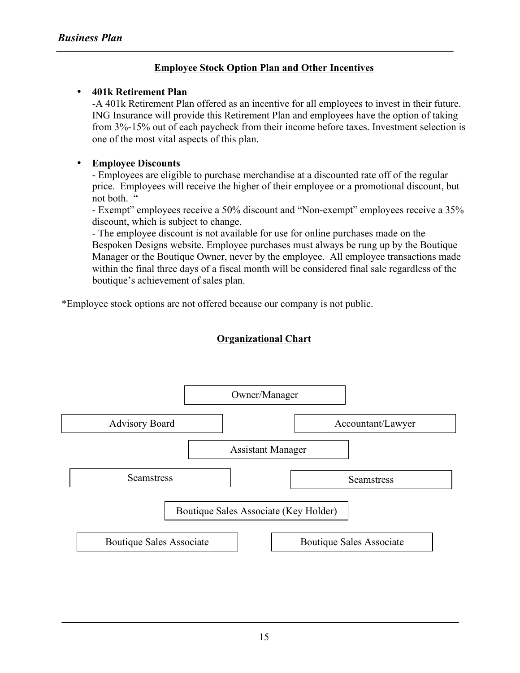## **Employee Stock Option Plan and Other Incentives**

#### • **401k Retirement Plan**

-A 401k Retirement Plan offered as an incentive for all employees to invest in their future. ING Insurance will provide this Retirement Plan and employees have the option of taking from 3%-15% out of each paycheck from their income before taxes. Investment selection is one of the most vital aspects of this plan.

#### • **Employee Discounts**

- Employees are eligible to purchase merchandise at a discounted rate off of the regular price. Employees will receive the higher of their employee or a promotional discount, but not both. "

- Exempt" employees receive a 50% discount and "Non-exempt" employees receive a 35% discount, which is subject to change.

- The employee discount is not available for use for online purchases made on the Bespoken Designs website. Employee purchases must always be rung up by the Boutique Manager or the Boutique Owner, never by the employee. All employee transactions made within the final three days of a fiscal month will be considered final sale regardless of the boutique's achievement of sales plan.

\*Employee stock options are not offered because our company is not public.

#### **Organizational Chart**

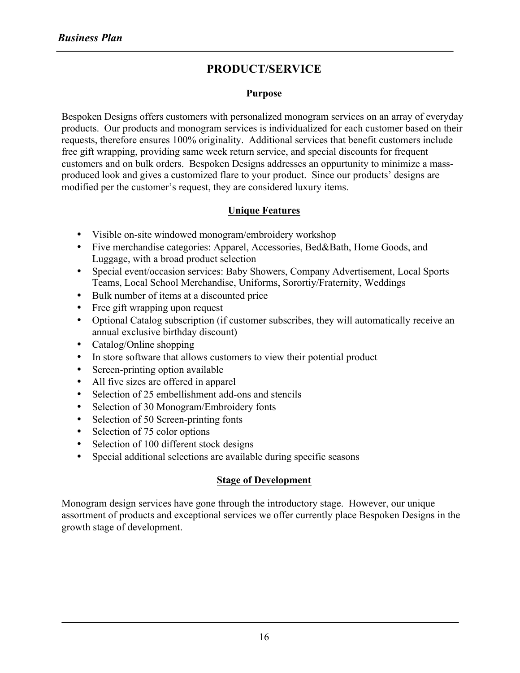# **PRODUCT/SERVICE**

#### **Purpose**

Bespoken Designs offers customers with personalized monogram services on an array of everyday products. Our products and monogram services is individualized for each customer based on their requests, therefore ensures 100% originality. Additional services that benefit customers include free gift wrapping, providing same week return service, and special discounts for frequent customers and on bulk orders. Bespoken Designs addresses an oppurtunity to minimize a massproduced look and gives a customized flare to your product. Since our products' designs are modified per the customer's request, they are considered luxury items.

#### **Unique Features**

- Visible on-site windowed monogram/embroidery workshop
- Five merchandise categories: Apparel, Accessories, Bed&Bath, Home Goods, and Luggage, with a broad product selection
- Special event/occasion services: Baby Showers, Company Advertisement, Local Sports Teams, Local School Merchandise, Uniforms, Sorortiy/Fraternity, Weddings
- Bulk number of items at a discounted price
- Free gift wrapping upon request
- Optional Catalog subscription (if customer subscribes, they will automatically receive an annual exclusive birthday discount)
- Catalog/Online shopping
- In store software that allows customers to view their potential product
- Screen-printing option available
- All five sizes are offered in apparel
- Selection of 25 embellishment add-ons and stencils
- Selection of 30 Monogram/Embroidery fonts
- Selection of 50 Screen-printing fonts
- Selection of 75 color options
- Selection of 100 different stock designs
- Special additional selections are available during specific seasons

#### **Stage of Development**

Monogram design services have gone through the introductory stage. However, our unique assortment of products and exceptional services we offer currently place Bespoken Designs in the growth stage of development.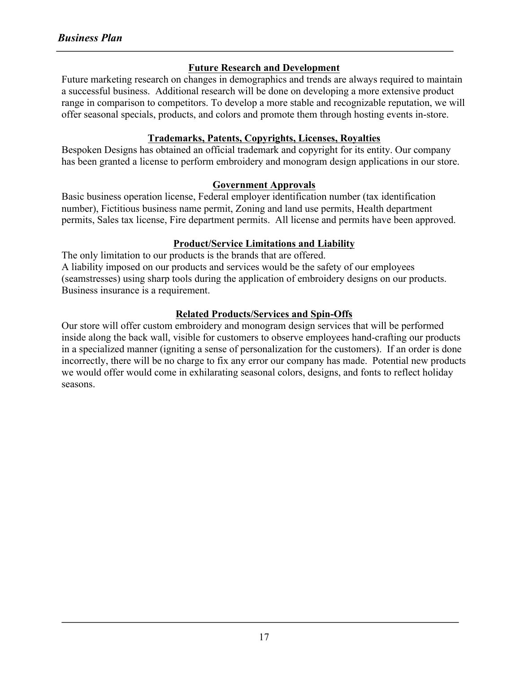#### **Future Research and Development**

Future marketing research on changes in demographics and trends are always required to maintain a successful business. Additional research will be done on developing a more extensive product range in comparison to competitors. To develop a more stable and recognizable reputation, we will offer seasonal specials, products, and colors and promote them through hosting events in-store.

#### **Trademarks, Patents, Copyrights, Licenses, Royalties**

Bespoken Designs has obtained an official trademark and copyright for its entity. Our company has been granted a license to perform embroidery and monogram design applications in our store.

#### **Government Approvals**

Basic business operation license, Federal employer identification number (tax identification number), Fictitious business name permit, Zoning and land use permits, Health department permits, Sales tax license, Fire department permits. All license and permits have been approved.

#### **Product/Service Limitations and Liability**

The only limitation to our products is the brands that are offered. A liability imposed on our products and services would be the safety of our employees (seamstresses) using sharp tools during the application of embroidery designs on our products. Business insurance is a requirement.

#### **Related Products/Services and Spin-Offs**

Our store will offer custom embroidery and monogram design services that will be performed inside along the back wall, visible for customers to observe employees hand-crafting our products in a specialized manner (igniting a sense of personalization for the customers). If an order is done incorrectly, there will be no charge to fix any error our company has made. Potential new products we would offer would come in exhilarating seasonal colors, designs, and fonts to reflect holiday seasons.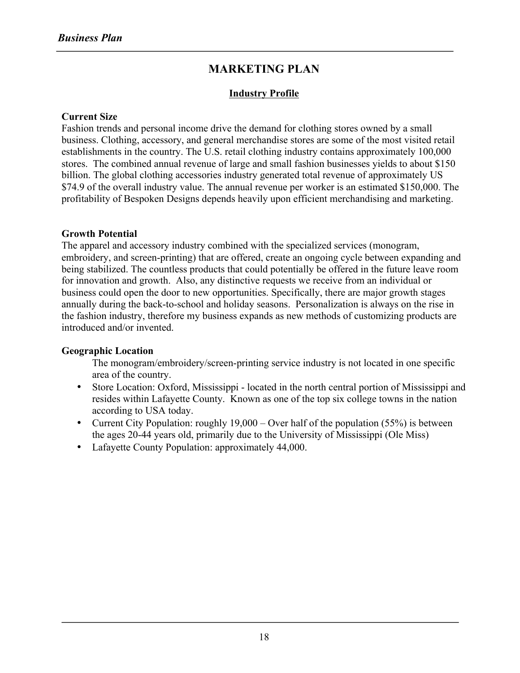# **MARKETING PLAN**

#### **Industry Profile**

#### **Current Size**

Fashion trends and personal income drive the demand for clothing stores owned by a small business. Clothing, accessory, and general merchandise stores are some of the most visited retail establishments in the country. The U.S. retail clothing industry contains approximately 100,000 stores. The combined annual revenue of large and small fashion businesses yields to about \$150 billion. The global clothing accessories industry generated total revenue of approximately US \$74.9 of the overall industry value. The annual revenue per worker is an estimated \$150,000. The profitability of Bespoken Designs depends heavily upon efficient merchandising and marketing.

#### **Growth Potential**

The apparel and accessory industry combined with the specialized services (monogram, embroidery, and screen-printing) that are offered, create an ongoing cycle between expanding and being stabilized. The countless products that could potentially be offered in the future leave room for innovation and growth. Also, any distinctive requests we receive from an individual or business could open the door to new opportunities. Specifically, there are major growth stages annually during the back-to-school and holiday seasons. Personalization is always on the rise in the fashion industry, therefore my business expands as new methods of customizing products are introduced and/or invented.

#### **Geographic Location**

The monogram/embroidery/screen-printing service industry is not located in one specific area of the country.

- Store Location: Oxford, Mississippi located in the north central portion of Mississippi and resides within Lafayette County. Known as one of the top six college towns in the nation according to USA today.
- Current City Population: roughly 19,000 Over half of the population (55%) is between the ages 20-44 years old, primarily due to the University of Mississippi (Ole Miss)
- Lafayette County Population: approximately 44,000.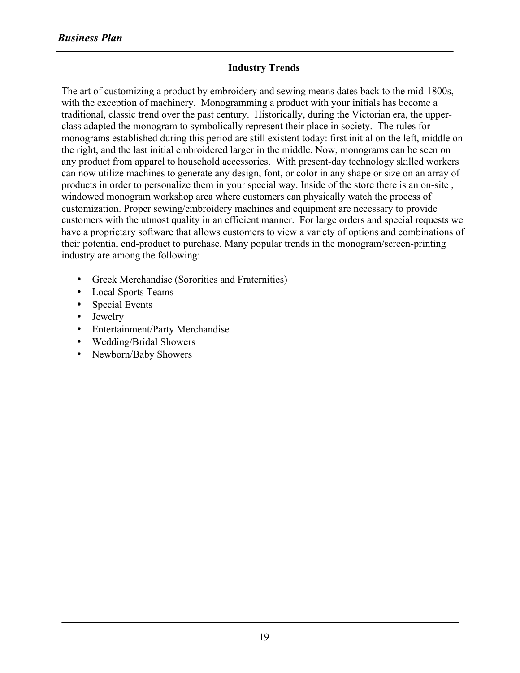## **Industry Trends**

The art of customizing a product by embroidery and sewing means dates back to the mid-1800s, with the exception of machinery. Monogramming a product with your initials has become a traditional, classic trend over the past century. Historically, during the Victorian era, the upperclass adapted the monogram to symbolically represent their place in society. The rules for monograms established during this period are still existent today: first initial on the left, middle on the right, and the last initial embroidered larger in the middle. Now, monograms can be seen on any product from apparel to household accessories. With present-day technology skilled workers can now utilize machines to generate any design, font, or color in any shape or size on an array of products in order to personalize them in your special way. Inside of the store there is an on-site , windowed monogram workshop area where customers can physically watch the process of customization. Proper sewing/embroidery machines and equipment are necessary to provide customers with the utmost quality in an efficient manner. For large orders and special requests we have a proprietary software that allows customers to view a variety of options and combinations of their potential end-product to purchase. Many popular trends in the monogram/screen-printing industry are among the following:

- Greek Merchandise (Sororities and Fraternities)
- Local Sports Teams
- Special Events
- Jewelry
- Entertainment/Party Merchandise
- Wedding/Bridal Showers
- Newborn/Baby Showers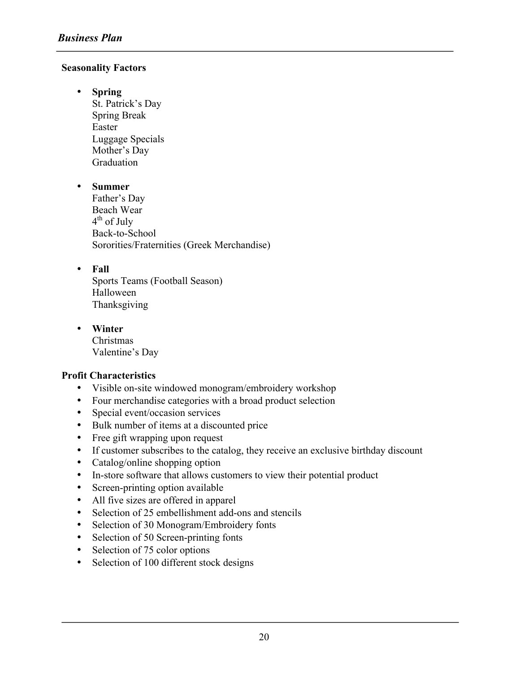#### **Seasonality Factors**

#### • **Spring**

St. Patrick's Day Spring Break Easter Luggage Specials Mother's Day Graduation

#### • **Summer**

Father's Day Beach Wear  $4<sup>th</sup>$  of July Back-to-School Sororities/Fraternities (Greek Merchandise)

#### • **Fall**

Sports Teams (Football Season) Halloween Thanksgiving

• **Winter** Christmas Valentine's Day

#### **Profit Characteristics**

- Visible on-site windowed monogram/embroidery workshop
- Four merchandise categories with a broad product selection
- Special event/occasion services
- Bulk number of items at a discounted price
- Free gift wrapping upon request
- If customer subscribes to the catalog, they receive an exclusive birthday discount
- Catalog/online shopping option
- In-store software that allows customers to view their potential product
- Screen-printing option available
- All five sizes are offered in apparel
- Selection of 25 embellishment add-ons and stencils
- Selection of 30 Monogram/Embroidery fonts
- Selection of 50 Screen-printing fonts
- Selection of 75 color options
- Selection of 100 different stock designs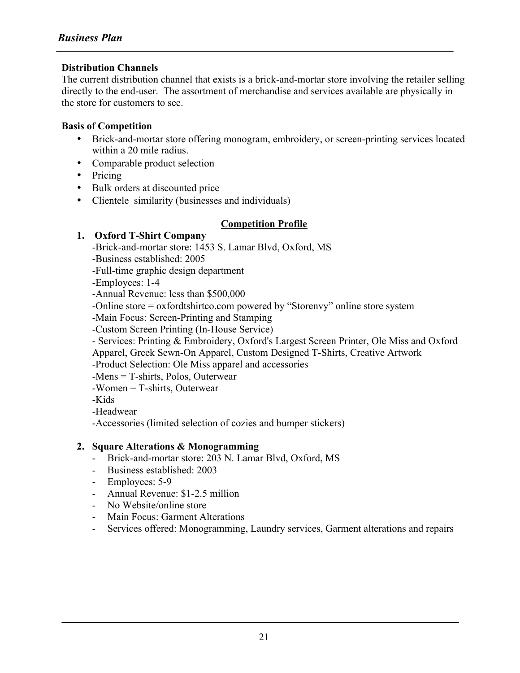#### **Distribution Channels**

The current distribution channel that exists is a brick-and-mortar store involving the retailer selling directly to the end-user. The assortment of merchandise and services available are physically in the store for customers to see.

#### **Basis of Competition**

- Brick-and-mortar store offering monogram, embroidery, or screen-printing services located within a 20 mile radius.
- Comparable product selection
- Pricing
- Bulk orders at discounted price
- Clientele similarity (businesses and individuals)

#### **Competition Profile**

#### **1. Oxford T-Shirt Company**

-Brick-and-mortar store: 1453 S. Lamar Blvd, Oxford, MS

-Business established: 2005

-Full-time graphic design department

-Employees: 1-4

- -Annual Revenue: less than \$500,000
- -Online store = oxfordtshirtco.com powered by "Storenvy" online store system
- -Main Focus: Screen-Printing and Stamping
- -Custom Screen Printing (In-House Service)
- Services: Printing & Embroidery, Oxford's Largest Screen Printer, Ole Miss and Oxford Apparel, Greek Sewn-On Apparel, Custom Designed T-Shirts, Creative Artwork
- -Product Selection: Ole Miss apparel and accessories
- -Mens = T-shirts, Polos, Outerwear
- -Women = T-shirts, Outerwear

-Kids

- -Headwear
- -Accessories (limited selection of cozies and bumper stickers)

#### **2. Square Alterations & Monogramming**

- Brick-and-mortar store: 203 N. Lamar Blvd, Oxford, MS
- Business established: 2003
- Employees: 5-9
- Annual Revenue: \$1-2.5 million
- No Website/online store
- Main Focus: Garment Alterations
- Services offered: Monogramming, Laundry services, Garment alterations and repairs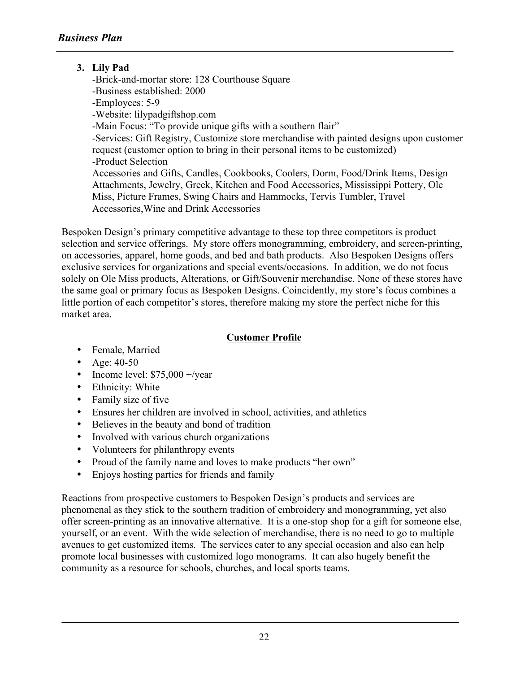## **3. Lily Pad**

-Brick-and-mortar store: 128 Courthouse Square -Business established: 2000 -Employees: 5-9 -Website: lilypadgiftshop.com -Main Focus: "To provide unique gifts with a southern flair" -Services: Gift Registry, Customize store merchandise with painted designs upon customer request (customer option to bring in their personal items to be customized) -Product Selection Accessories and Gifts, Candles, Cookbooks, Coolers, Dorm, Food/Drink Items, Design Attachments, Jewelry, Greek, Kitchen and Food Accessories, Mississippi Pottery, Ole Miss, Picture Frames, Swing Chairs and Hammocks, Tervis Tumbler, Travel Accessories,Wine and Drink Accessories

Bespoken Design's primary competitive advantage to these top three competitors is product selection and service offerings. My store offers monogramming, embroidery, and screen-printing, on accessories, apparel, home goods, and bed and bath products. Also Bespoken Designs offers exclusive services for organizations and special events/occasions. In addition, we do not focus solely on Ole Miss products, Alterations, or Gift/Souvenir merchandise. None of these stores have the same goal or primary focus as Bespoken Designs. Coincidently, my store's focus combines a little portion of each competitor's stores, therefore making my store the perfect niche for this market area.

## **Customer Profile**

- Female, Married
- Age:  $40-50$
- Income level:  $$75,000 +$ /year
- Ethnicity: White
- Family size of five
- Ensures her children are involved in school, activities, and athletics
- Believes in the beauty and bond of tradition
- Involved with various church organizations
- Volunteers for philanthropy events
- Proud of the family name and loves to make products "her own"
- Enjoys hosting parties for friends and family

Reactions from prospective customers to Bespoken Design's products and services are phenomenal as they stick to the southern tradition of embroidery and monogramming, yet also offer screen-printing as an innovative alternative. It is a one-stop shop for a gift for someone else, yourself, or an event. With the wide selection of merchandise, there is no need to go to multiple avenues to get customized items. The services cater to any special occasion and also can help promote local businesses with customized logo monograms. It can also hugely benefit the community as a resource for schools, churches, and local sports teams.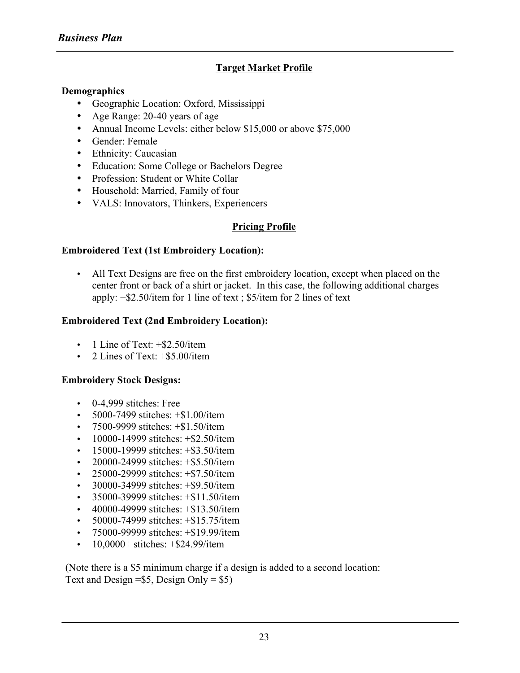## **Target Market Profile**

#### **Demographics**

- Geographic Location: Oxford, Mississippi
- Age Range: 20-40 years of age
- Annual Income Levels: either below \$15,000 or above \$75,000
- Gender: Female
- Ethnicity: Caucasian
- Education: Some College or Bachelors Degree
- Profession: Student or White Collar
- Household: Married, Family of four
- VALS: Innovators, Thinkers, Experiencers

## **Pricing Profile**

#### **Embroidered Text (1st Embroidery Location):**

• All Text Designs are free on the first embroidery location, except when placed on the center front or back of a shirt or jacket. In this case, the following additional charges apply: +\$2.50/item for 1 line of text ; \$5/item for 2 lines of text

#### **Embroidered Text (2nd Embroidery Location):**

- 1 Line of Text:  $+$ \$2.50/item
- 2 Lines of Text:  $+$ \$5.00/item

#### **Embroidery Stock Designs:**

- 0-4,999 stitches: Free
- 5000-7499 stitches: +\$1.00/item
- 7500-9999 stitches: +\$1.50/item
- 10000-14999 stitches: +\$2.50/item
- 15000-19999 stitches: +\$3.50/item
- 20000-24999 stitches: +\$5.50/item
- 25000-29999 stitches: +\$7.50/item
- 30000-34999 stitches: +\$9.50/item
- 35000-39999 stitches: +\$11.50/item
- 40000-49999 stitches: +\$13.50/item
- 50000-74999 stitches: +\$15.75/item
- 75000-99999 stitches: +\$19.99/item
- 10,0000+ stitches: +\$24.99/item

(Note there is a \$5 minimum charge if a design is added to a second location: Text and Design =  $$5$ , Design Only =  $$5$ )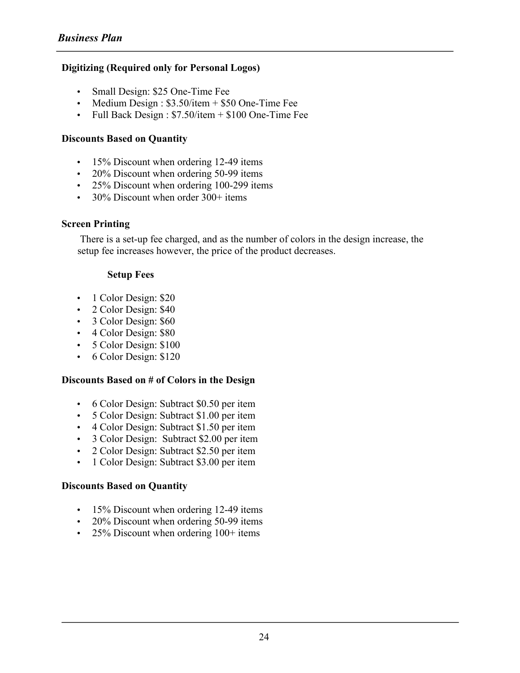#### **Digitizing (Required only for Personal Logos)**

- Small Design: \$25 One-Time Fee
- Medium Design : \$3.50/item + \$50 One-Time Fee
- Full Back Design : \$7.50/item + \$100 One-Time Fee

#### **Discounts Based on Quantity**

- 15% Discount when ordering 12-49 items
- 20% Discount when ordering 50-99 items
- 25% Discount when ordering 100-299 items
- 30% Discount when order 300+ items

#### **Screen Printing**

There is a set-up fee charged, and as the number of colors in the design increase, the setup fee increases however, the price of the product decreases.

#### **Setup Fees**

- 1 Color Design: \$20
- 2 Color Design: \$40
- 3 Color Design: \$60
- 4 Color Design: \$80
- 5 Color Design: \$100
- 6 Color Design: \$120

#### **Discounts Based on # of Colors in the Design**

- 6 Color Design: Subtract \$0.50 per item
- 5 Color Design: Subtract \$1.00 per item
- 4 Color Design: Subtract \$1.50 per item
- 3 Color Design: Subtract \$2.00 per item
- 2 Color Design: Subtract \$2.50 per item
- 1 Color Design: Subtract \$3.00 per item

#### **Discounts Based on Quantity**

- 15% Discount when ordering 12-49 items
- 20% Discount when ordering 50-99 items
- 25% Discount when ordering 100+ items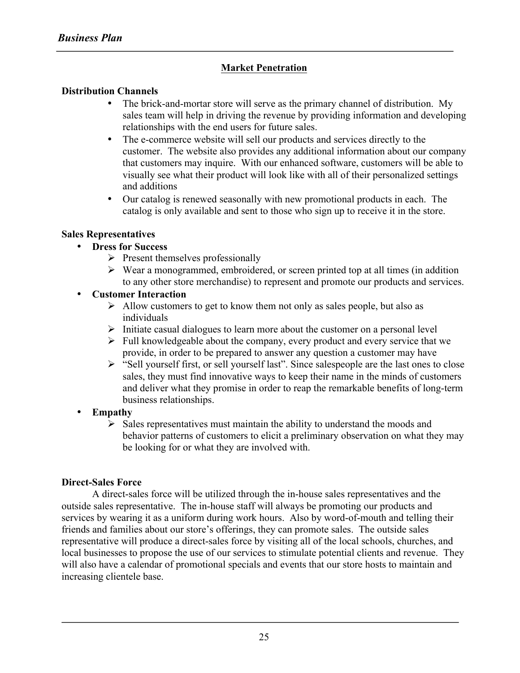## **Market Penetration**

#### **Distribution Channels**

- The brick-and-mortar store will serve as the primary channel of distribution. My sales team will help in driving the revenue by providing information and developing relationships with the end users for future sales.
- The e-commerce website will sell our products and services directly to the customer. The website also provides any additional information about our company that customers may inquire. With our enhanced software, customers will be able to visually see what their product will look like with all of their personalized settings and additions
- Our catalog is renewed seasonally with new promotional products in each. The catalog is only available and sent to those who sign up to receive it in the store.

#### **Sales Representatives**

#### • **Dress for Success**

- $\triangleright$  Present themselves professionally
- $\triangleright$  Wear a monogrammed, embroidered, or screen printed top at all times (in addition to any other store merchandise) to represent and promote our products and services.
- **Customer Interaction**
	- $\triangleright$  Allow customers to get to know them not only as sales people, but also as individuals
	- $\triangleright$  Initiate casual dialogues to learn more about the customer on a personal level
	- $\triangleright$  Full knowledgeable about the company, every product and every service that we provide, in order to be prepared to answer any question a customer may have
	- Ø "Sell yourself first, or sell yourself last". Since salespeople are the last ones to close sales, they must find innovative ways to keep their name in the minds of customers and deliver what they promise in order to reap the remarkable benefits of long-term business relationships.

#### • **Empathy**

 $\triangleright$  Sales representatives must maintain the ability to understand the moods and behavior patterns of customers to elicit a preliminary observation on what they may be looking for or what they are involved with.

#### **Direct-Sales Force**

A direct-sales force will be utilized through the in-house sales representatives and the outside sales representative. The in-house staff will always be promoting our products and services by wearing it as a uniform during work hours. Also by word-of-mouth and telling their friends and families about our store's offerings, they can promote sales. The outside sales representative will produce a direct-sales force by visiting all of the local schools, churches, and local businesses to propose the use of our services to stimulate potential clients and revenue. They will also have a calendar of promotional specials and events that our store hosts to maintain and increasing clientele base.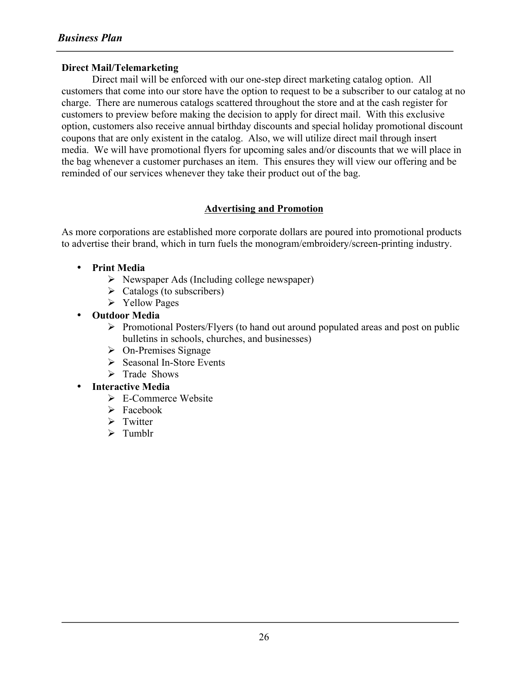#### **Direct Mail/Telemarketing**

Direct mail will be enforced with our one-step direct marketing catalog option. All customers that come into our store have the option to request to be a subscriber to our catalog at no charge. There are numerous catalogs scattered throughout the store and at the cash register for customers to preview before making the decision to apply for direct mail. With this exclusive option, customers also receive annual birthday discounts and special holiday promotional discount coupons that are only existent in the catalog. Also, we will utilize direct mail through insert media. We will have promotional flyers for upcoming sales and/or discounts that we will place in the bag whenever a customer purchases an item. This ensures they will view our offering and be reminded of our services whenever they take their product out of the bag.

#### **Advertising and Promotion**

As more corporations are established more corporate dollars are poured into promotional products to advertise their brand, which in turn fuels the monogram/embroidery/screen-printing industry.

- **Print Media**
	- $\triangleright$  Newspaper Ads (Including college newspaper)
	- $\triangleright$  Catalogs (to subscribers)
	- $\triangleright$  Yellow Pages
- **Outdoor Media**
	- $\triangleright$  Promotional Posters/Flyers (to hand out around populated areas and post on public bulletins in schools, churches, and businesses)
	- $\triangleright$  On-Premises Signage
	- $\triangleright$  Seasonal In-Store Events
	- $\triangleright$  Trade Shows
- **Interactive Media**
	- $\triangleright$  E-Commerce Website
	- $\triangleright$  Facebook
	- $\triangleright$  Twitter
	- $\triangleright$  Tumblr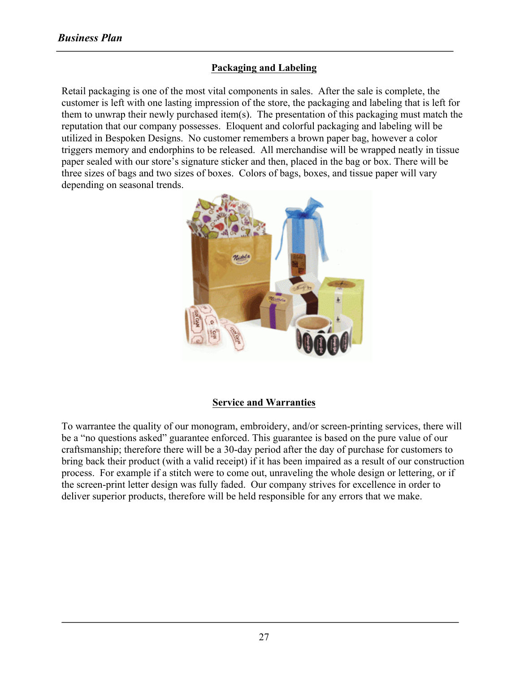### **Packaging and Labeling**

Retail packaging is one of the most vital components in sales. After the sale is complete, the customer is left with one lasting impression of the store, the packaging and labeling that is left for them to unwrap their newly purchased item(s). The presentation of this packaging must match the reputation that our company possesses. Eloquent and colorful packaging and labeling will be utilized in Bespoken Designs. No customer remembers a brown paper bag, however a color triggers memory and endorphins to be released. All merchandise will be wrapped neatly in tissue paper sealed with our store's signature sticker and then, placed in the bag or box. There will be three sizes of bags and two sizes of boxes. Colors of bags, boxes, and tissue paper will vary depending on seasonal trends.



#### **Service and Warranties**

To warrantee the quality of our monogram, embroidery, and/or screen-printing services, there will be a "no questions asked" guarantee enforced. This guarantee is based on the pure value of our craftsmanship; therefore there will be a 30-day period after the day of purchase for customers to bring back their product (with a valid receipt) if it has been impaired as a result of our construction process. For example if a stitch were to come out, unraveling the whole design or lettering, or if the screen-print letter design was fully faded. Our company strives for excellence in order to deliver superior products, therefore will be held responsible for any errors that we make.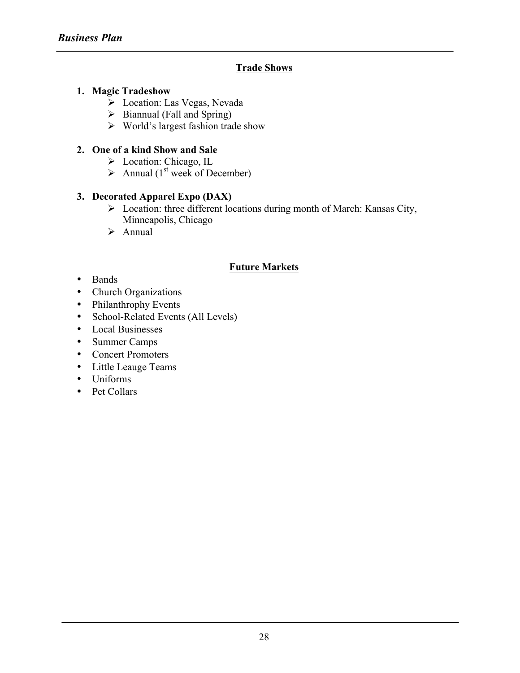#### **Trade Shows**

#### **1. Magic Tradeshow**

- Ø Location: Las Vegas, Nevada
- $\triangleright$  Biannual (Fall and Spring)
- $\triangleright$  World's largest fashion trade show

#### **2. One of a kind Show and Sale**

- Ø Location: Chicago, IL
- $\triangleright$  Annual (1<sup>st</sup> week of December)

#### **3. Decorated Apparel Expo (DAX)**

- $\triangleright$  Location: three different locations during month of March: Kansas City, Minneapolis, Chicago
- $\triangleright$  Annual

## **Future Markets**

- Bands
- Church Organizations
- Philanthrophy Events
- School-Related Events (All Levels)
- Local Businesses
- Summer Camps
- Concert Promoters
- Little Leauge Teams
- Uniforms
- Pet Collars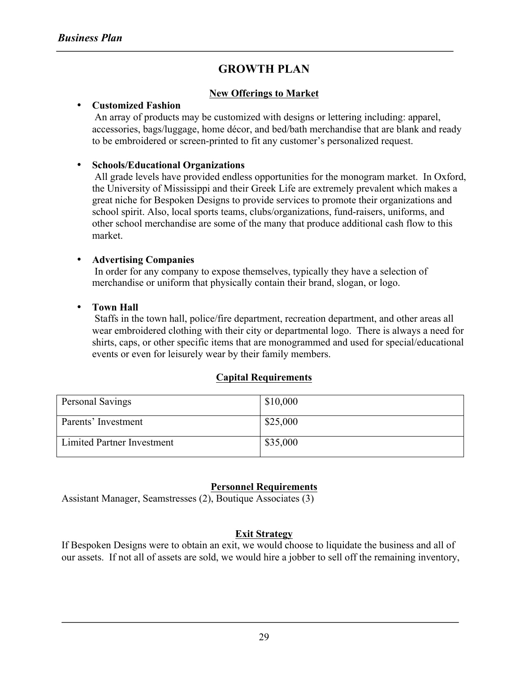# **GROWTH PLAN**

## **New Offerings to Market**

#### • **Customized Fashion**

An array of products may be customized with designs or lettering including: apparel, accessories, bags/luggage, home décor, and bed/bath merchandise that are blank and ready to be embroidered or screen-printed to fit any customer's personalized request.

#### • **Schools/Educational Organizations**

All grade levels have provided endless opportunities for the monogram market. In Oxford, the University of Mississippi and their Greek Life are extremely prevalent which makes a great niche for Bespoken Designs to provide services to promote their organizations and school spirit. Also, local sports teams, clubs/organizations, fund-raisers, uniforms, and other school merchandise are some of the many that produce additional cash flow to this market.

#### • **Advertising Companies**

In order for any company to expose themselves, typically they have a selection of merchandise or uniform that physically contain their brand, slogan, or logo.

#### • **Town Hall**

Staffs in the town hall, police/fire department, recreation department, and other areas all wear embroidered clothing with their city or departmental logo. There is always a need for shirts, caps, or other specific items that are monogrammed and used for special/educational events or even for leisurely wear by their family members.

#### **Capital Requirements**

| Personal Savings                  | \$10,000 |
|-----------------------------------|----------|
| Parents' Investment               | \$25,000 |
| <b>Limited Partner Investment</b> | \$35,000 |

#### **Personnel Requirements**

Assistant Manager, Seamstresses (2), Boutique Associates (3)

## **Exit Strategy**

If Bespoken Designs were to obtain an exit, we would choose to liquidate the business and all of our assets. If not all of assets are sold, we would hire a jobber to sell off the remaining inventory,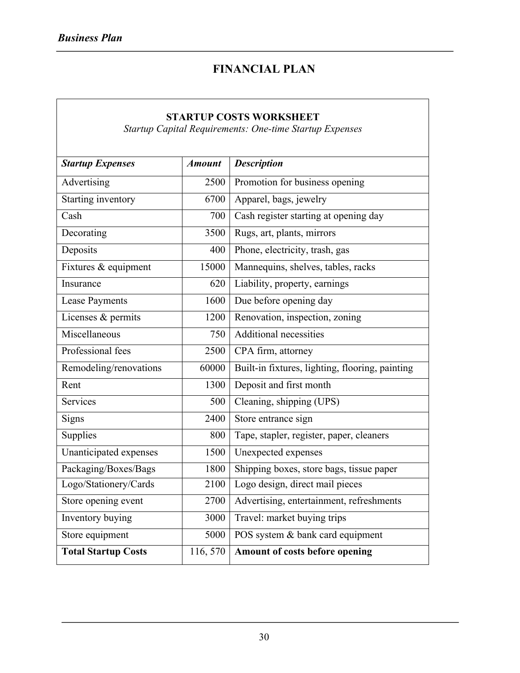$\overline{\phantom{a}}$ 

# **FINANCIAL PLAN**

| <b>STARTUP COSTS WORKSHEET</b><br><b>Startup Capital Requirements: One-time Startup Expenses</b> |               |                                                 |
|--------------------------------------------------------------------------------------------------|---------------|-------------------------------------------------|
| <b>Startup Expenses</b>                                                                          | <b>Amount</b> | <b>Description</b>                              |
| Advertising                                                                                      | 2500          | Promotion for business opening                  |
| Starting inventory                                                                               | 6700          | Apparel, bags, jewelry                          |
| Cash                                                                                             | 700           | Cash register starting at opening day           |
| Decorating                                                                                       | 3500          | Rugs, art, plants, mirrors                      |
| Deposits                                                                                         | 400           | Phone, electricity, trash, gas                  |
| Fixtures & equipment                                                                             | 15000         | Mannequins, shelves, tables, racks              |
| Insurance                                                                                        | 620           | Liability, property, earnings                   |
| Lease Payments                                                                                   | 1600          | Due before opening day                          |
| Licenses & permits                                                                               | 1200          | Renovation, inspection, zoning                  |
| Miscellaneous                                                                                    | 750           | <b>Additional necessities</b>                   |
| Professional fees                                                                                | 2500          | CPA firm, attorney                              |
| Remodeling/renovations                                                                           | 60000         | Built-in fixtures, lighting, flooring, painting |
| Rent                                                                                             | 1300          | Deposit and first month                         |
| Services                                                                                         | 500           | Cleaning, shipping (UPS)                        |
| Signs                                                                                            | 2400          | Store entrance sign                             |
| Supplies                                                                                         | 800           | Tape, stapler, register, paper, cleaners        |
| Unanticipated expenses                                                                           | 1500          | Unexpected expenses                             |
| Packaging/Boxes/Bags                                                                             | 1800          | Shipping boxes, store bags, tissue paper        |
| Logo/Stationery/Cards                                                                            | 2100          | Logo design, direct mail pieces                 |
| Store opening event                                                                              | 2700          | Advertising, entertainment, refreshments        |
| Inventory buying                                                                                 | 3000          | Travel: market buying trips                     |
| Store equipment                                                                                  | 5000          | POS system & bank card equipment                |
| <b>Total Startup Costs</b>                                                                       | 116, 570      | Amount of costs before opening                  |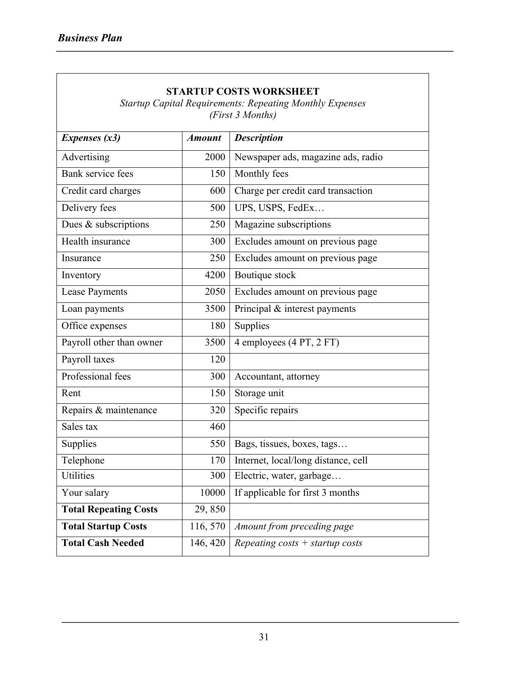## **STARTUP COSTS WORKSHEET**

*Startup Capital Requirements: Repeating Monthly Expenses (First 3 Months)*

| Expenses $(x3)$              | <b>Amount</b> | <b>Description</b>                  |
|------------------------------|---------------|-------------------------------------|
| Advertising                  | 2000          | Newspaper ads, magazine ads, radio  |
| <b>Bank service</b> fees     | 150           | Monthly fees                        |
| Credit card charges          | 600           | Charge per credit card transaction  |
| Delivery fees                | 500           | UPS, USPS, FedEx                    |
| Dues & subscriptions         | 250           | Magazine subscriptions              |
| Health insurance             | 300           | Excludes amount on previous page    |
| Insurance                    | 250           | Excludes amount on previous page    |
| Inventory                    | 4200          | Boutique stock                      |
| <b>Lease Payments</b>        | 2050          | Excludes amount on previous page    |
| Loan payments                | 3500          | Principal & interest payments       |
| Office expenses              | 180           | Supplies                            |
| Payroll other than owner     | 3500          | 4 employees (4 PT, 2 FT)            |
| Payroll taxes                | 120           |                                     |
| Professional fees            | 300           | Accountant, attorney                |
| Rent                         | 150           | Storage unit                        |
| Repairs & maintenance        | 320           | Specific repairs                    |
| Sales tax                    | 460           |                                     |
| Supplies                     | 550           | Bags, tissues, boxes, tags          |
| Telephone                    | 170           | Internet, local/long distance, cell |
| <b>Utilities</b>             | 300           | Electric, water, garbage            |
| Your salary                  | 10000         | If applicable for first 3 months    |
| <b>Total Repeating Costs</b> | 29,850        |                                     |
| <b>Total Startup Costs</b>   | 116, 570      | Amount from preceding page          |
| <b>Total Cash Needed</b>     | 146, 420      | Repeating $costs + startup \ costs$ |